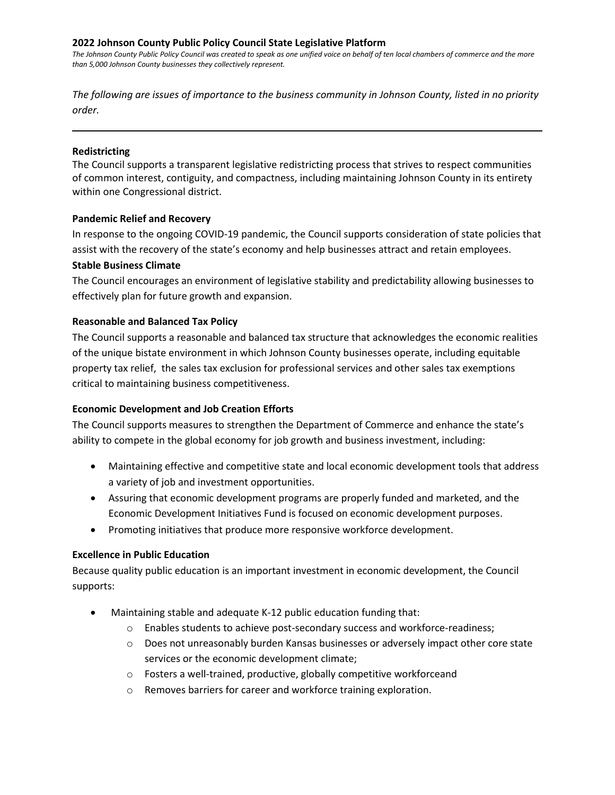### **2022 Johnson County Public Policy Council State Legislative Platform**

*The Johnson County Public Policy Council was created to speak as one unified voice on behalf of ten local chambers of commerce and the more than 5,000 Johnson County businesses they collectively represent.*

*The following are issues of importance to the business community in Johnson County, listed in no priority order.*

### **Redistricting**

The Council supports a transparent legislative redistricting process that strives to respect communities of common interest, contiguity, and compactness, including maintaining Johnson County in its entirety within one Congressional district.

### **Pandemic Relief and Recovery**

In response to the ongoing COVID-19 pandemic, the Council supports consideration of state policies that assist with the recovery of the state's economy and help businesses attract and retain employees.

### **Stable Business Climate**

The Council encourages an environment of legislative stability and predictability allowing businesses to effectively plan for future growth and expansion.

### **Reasonable and Balanced Tax Policy**

The Council supports a reasonable and balanced tax structure that acknowledges the economic realities of the unique bistate environment in which Johnson County businesses operate, including equitable property tax relief, the sales tax exclusion for professional services and other sales tax exemptions critical to maintaining business competitiveness.

# **Economic Development and Job Creation Efforts**

The Council supports measures to strengthen the Department of Commerce and enhance the state's ability to compete in the global economy for job growth and business investment, including:

- Maintaining effective and competitive state and local economic development tools that address a variety of job and investment opportunities.
- Assuring that economic development programs are properly funded and marketed, and the Economic Development Initiatives Fund is focused on economic development purposes.
- Promoting initiatives that produce more responsive workforce development.

# **Excellence in Public Education**

Because quality public education is an important investment in economic development, the Council supports:

- Maintaining stable and adequate K-12 public education funding that:
	- o Enables students to achieve post-secondary success and workforce-readiness;
	- $\circ$  Does not unreasonably burden Kansas businesses or adversely impact other core state services or the economic development climate;
	- o Fosters a well-trained, productive, globally competitive workforceand
	- o Removes barriers for career and workforce training exploration.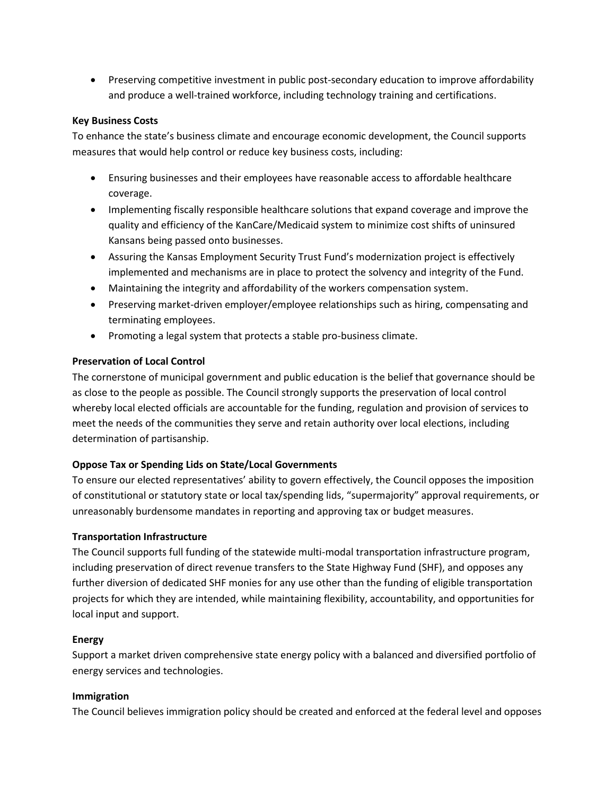• Preserving competitive investment in public post-secondary education to improve affordability and produce a well-trained workforce, including technology training and certifications.

# **Key Business Costs**

To enhance the state's business climate and encourage economic development, the Council supports measures that would help control or reduce key business costs, including:

- Ensuring businesses and their employees have reasonable access to affordable healthcare coverage.
- Implementing fiscally responsible healthcare solutions that expand coverage and improve the quality and efficiency of the KanCare/Medicaid system to minimize cost shifts of uninsured Kansans being passed onto businesses.
- Assuring the Kansas Employment Security Trust Fund's modernization project is effectively implemented and mechanisms are in place to protect the solvency and integrity of the Fund.
- Maintaining the integrity and affordability of the workers compensation system.
- Preserving market-driven employer/employee relationships such as hiring, compensating and terminating employees.
- Promoting a legal system that protects a stable pro-business climate.

# **Preservation of Local Control**

The cornerstone of municipal government and public education is the belief that governance should be as close to the people as possible. The Council strongly supports the preservation of local control whereby local elected officials are accountable for the funding, regulation and provision of services to meet the needs of the communities they serve and retain authority over local elections, including determination of partisanship.

# **Oppose Tax or Spending Lids on State/Local Governments**

To ensure our elected representatives' ability to govern effectively, the Council opposes the imposition of constitutional or statutory state or local tax/spending lids, "supermajority" approval requirements, or unreasonably burdensome mandates in reporting and approving tax or budget measures.

# **Transportation Infrastructure**

The Council supports full funding of the statewide multi-modal transportation infrastructure program, including preservation of direct revenue transfers to the State Highway Fund (SHF), and opposes any further diversion of dedicated SHF monies for any use other than the funding of eligible transportation projects for which they are intended, while maintaining flexibility, accountability, and opportunities for local input and support.

# **Energy**

Support a market driven comprehensive state energy policy with a balanced and diversified portfolio of energy services and technologies.

# **Immigration**

The Council believes immigration policy should be created and enforced at the federal level and opposes